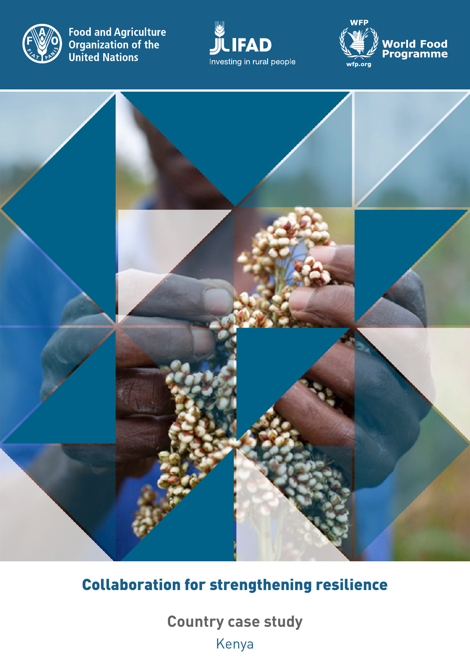

**Food and Agriculture<br>Organization of the<br>United Nations** 







# Collaboration for strengthening resilience

**Country case study** Kenya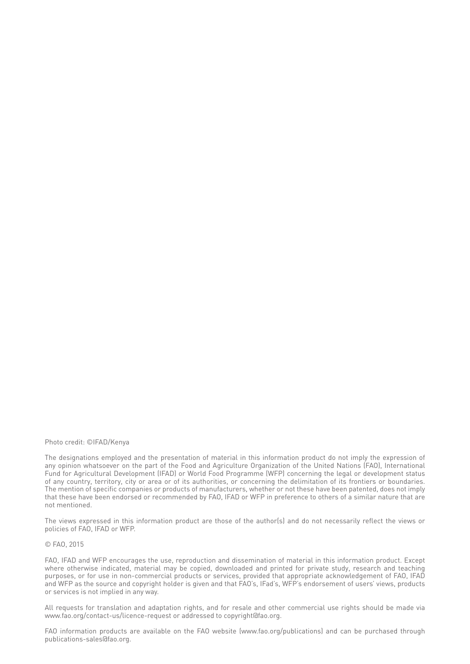#### Photo credit: ©IFAD/Kenya

The designations employed and the presentation of material in this information product do not imply the expression of any opinion whatsoever on the part of the Food and Agriculture Organization of the United Nations (FAO), International Fund for Agricultural Development (IFAD) or World Food Programme (WFP) concerning the legal or development status of any country, territory, city or area or of its authorities, or concerning the delimitation of its frontiers or boundaries. The mention of specific companies or products of manufacturers, whether or not these have been patented, does not imply that these have been endorsed or recommended by FAO, IFAD or WFP in preference to others of a similar nature that are not mentioned.

The views expressed in this information product are those of the author(s) and do not necessarily reflect the views or policies of FAO, IFAD or WFP.

#### © FAO, 2015

FAO, IFAD and WFP encourages the use, reproduction and dissemination of material in this information product. Except where otherwise indicated, material may be copied, downloaded and printed for private study, research and teaching purposes, or for use in non-commercial products or services, provided that appropriate acknowledgement of FAO, IFAD and WFP as the source and copyright holder is given and that FAO's, IFad's, WFP's endorsement of users' views, products or services is not implied in any way.

All requests for translation and adaptation rights, and for resale and other commercial use rights should be made via www.fao.org/contact-us/licence-request or addressed to copyright@fao.org.

FAO information products are available on the FAO website (www.fao.org/publications) and can be purchased through publications-sales@fao.org.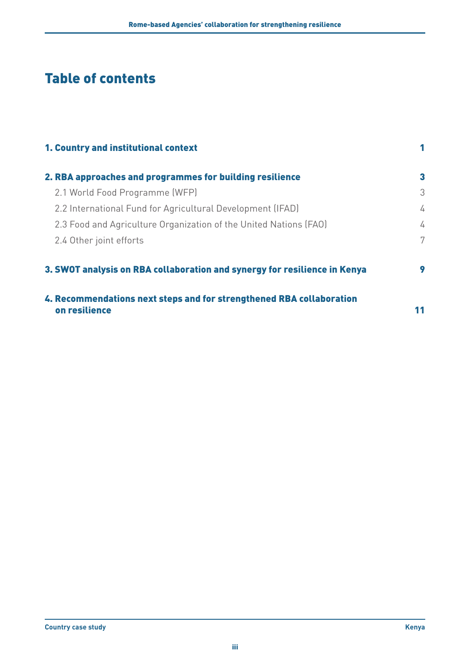# Table of contents

| 1. Country and institutional context                                                  |    |
|---------------------------------------------------------------------------------------|----|
| 2. RBA approaches and programmes for building resilience                              | 3  |
| 2.1 World Food Programme (WFP)                                                        | 3  |
| 2.2 International Fund for Agricultural Development (IFAD)                            | 4  |
| 2.3 Food and Agriculture Organization of the United Nations (FAO)                     | 4  |
| 2.4 Other joint efforts                                                               | 7  |
| 3. SWOT analysis on RBA collaboration and synergy for resilience in Kenya             | 9  |
| 4. Recommendations next steps and for strengthened RBA collaboration<br>on resilience | 11 |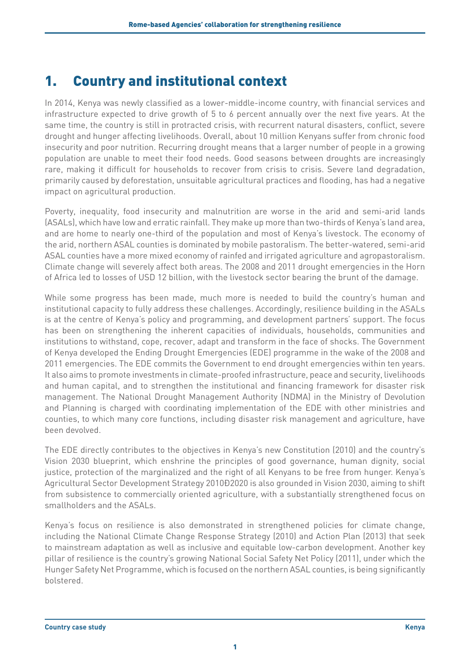# <span id="page-4-0"></span>1. Country and institutional context

In 2014, Kenya was newly classified as a lower-middle-income country, with financial services and infrastructure expected to drive growth of 5 to 6 percent annually over the next five years. At the same time, the country is still in protracted crisis, with recurrent natural disasters, conflict, severe drought and hunger affecting livelihoods. Overall, about 10 million Kenyans suffer from chronic food insecurity and poor nutrition. Recurring drought means that a larger number of people in a growing population are unable to meet their food needs. Good seasons between droughts are increasingly rare, making it difficult for households to recover from crisis to crisis. Severe land degradation, primarily caused by deforestation, unsuitable agricultural practices and flooding, has had a negative impact on agricultural production.

Poverty, inequality, food insecurity and malnutrition are worse in the arid and semi-arid lands (ASALs), which have low and erratic rainfall. They make up more than two-thirds of Kenya's land area, and are home to nearly one-third of the population and most of Kenya's livestock. The economy of the arid, northern ASAL counties is dominated by mobile pastoralism. The better-watered, semi-arid ASAL counties have a more mixed economy of rainfed and irrigated agriculture and agropastoralism. Climate change will severely affect both areas. The 2008 and 2011 drought emergencies in the Horn of Africa led to losses of USD 12 billion, with the livestock sector bearing the brunt of the damage.

While some progress has been made, much more is needed to build the country's human and institutional capacity to fully address these challenges. Accordingly, resilience building in the ASALs is at the centre of Kenya's policy and programming, and development partners' support. The focus has been on strengthening the inherent capacities of individuals, households, communities and institutions to withstand, cope, recover, adapt and transform in the face of shocks. The Government of Kenya developed the Ending Drought Emergencies (EDE) programme in the wake of the 2008 and 2011 emergencies. The EDE commits the Government to end drought emergencies within ten years. It also aims to promote investments in climate-proofed infrastructure, peace and security, livelihoods and human capital, and to strengthen the institutional and financing framework for disaster risk management. The National Drought Management Authority (NDMA) in the Ministry of Devolution and Planning is charged with coordinating implementation of the EDE with other ministries and counties, to which many core functions, including disaster risk management and agriculture, have been devolved.

The EDE directly contributes to the objectives in Kenya's new Constitution (2010) and the country's Vision 2030 blueprint, which enshrine the principles of good governance, human dignity, social justice, protection of the marginalized and the right of all Kenyans to be free from hunger. Kenya's Agricultural Sector Development Strategy 2010 D2020 is also grounded in Vision 2030, aiming to shift from subsistence to commercially oriented agriculture, with a substantially strengthened focus on smallholders and the ASALs.

Kenya's focus on resilience is also demonstrated in strengthened policies for climate change, including the National Climate Change Response Strategy (2010) and Action Plan (2013) that seek to mainstream adaptation as well as inclusive and equitable low-carbon development. Another key pillar of resilience is the country's growing National Social Safety Net Policy (2011), under which the Hunger Safety Net Programme, which is focused on the northern ASAL counties, is being significantly bolstered.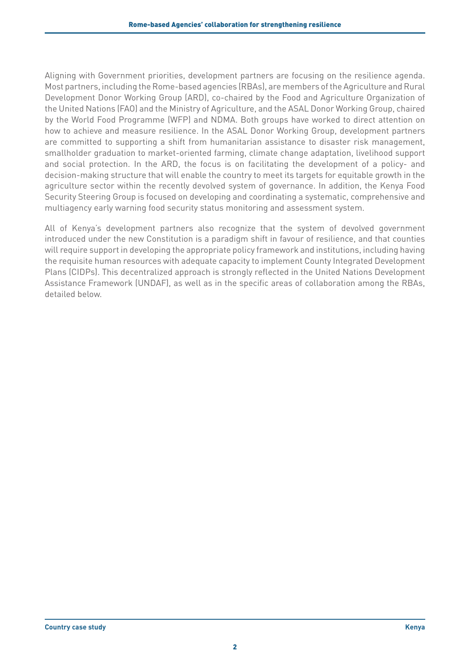Aligning with Government priorities, development partners are focusing on the resilience agenda. Most partners, including the Rome-based agencies (RBAs), are members of the Agriculture and Rural Development Donor Working Group (ARD), co-chaired by the Food and Agriculture Organization of the United Nations (FAO) and the Ministry of Agriculture, and the ASAL Donor Working Group, chaired by the World Food Programme (WFP) and NDMA. Both groups have worked to direct attention on how to achieve and measure resilience. In the ASAL Donor Working Group, development partners are committed to supporting a shift from humanitarian assistance to disaster risk management, smallholder graduation to market-oriented farming, climate change adaptation, livelihood support and social protection. In the ARD, the focus is on facilitating the development of a policy- and decision-making structure that will enable the country to meet its targets for equitable growth in the agriculture sector within the recently devolved system of governance. In addition, the Kenya Food Security Steering Group is focused on developing and coordinating a systematic, comprehensive and multiagency early warning food security status monitoring and assessment system.

All of Kenya's development partners also recognize that the system of devolved government introduced under the new Constitution is a paradigm shift in favour of resilience, and that counties will require support in developing the appropriate policy framework and institutions, including having the requisite human resources with adequate capacity to implement County Integrated Development Plans (CIDPs). This decentralized approach is strongly reflected in the United Nations Development Assistance Framework (UNDAF), as well as in the specific areas of collaboration among the RBAs, detailed below.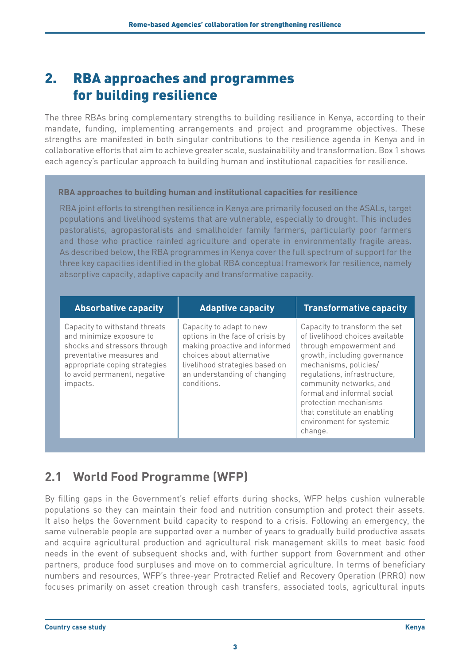# <span id="page-6-0"></span>2. RBA approaches and programmes for building resilience

The three RBAs bring complementary strengths to building resilience in Kenya, according to their mandate, funding, implementing arrangements and project and programme objectives. These strengths are manifested in both singular contributions to the resilience agenda in Kenya and in collaborative efforts that aim to achieve greater scale, sustainability and transformation. Box 1 shows each agency's particular approach to building human and institutional capacities for resilience.

#### **RBA approaches to building human and institutional capacities for resilience**

RBA joint efforts to strengthen resilience in Kenya are primarily focused on the ASALs, target populations and livelihood systems that are vulnerable, especially to drought. This includes pastoralists, agropastoralists and smallholder family farmers, particularly poor farmers and those who practice rainfed agriculture and operate in environmentally fragile areas. As described below, the RBA programmes in Kenya cover the full spectrum of support for the three key capacities identified in the global RBA conceptual framework for resilience, namely absorptive capacity, adaptive capacity and transformative capacity.

| <b>Absorbative capacity</b>                                                                                                                                                                         | <b>Adaptive capacity</b>                                                                                                                                                                                    | <b>Transformative capacity</b>                                                                                                                                                                                                                                                                                                               |
|-----------------------------------------------------------------------------------------------------------------------------------------------------------------------------------------------------|-------------------------------------------------------------------------------------------------------------------------------------------------------------------------------------------------------------|----------------------------------------------------------------------------------------------------------------------------------------------------------------------------------------------------------------------------------------------------------------------------------------------------------------------------------------------|
| Capacity to withstand threats<br>and minimize exposure to<br>shocks and stressors through<br>preventative measures and<br>appropriate coping strategies<br>to avoid permanent, negative<br>impacts. | Capacity to adapt to new<br>options in the face of crisis by<br>making proactive and informed<br>choices about alternative<br>livelihood strategies based on<br>an understanding of changing<br>conditions. | Capacity to transform the set<br>of livelihood choices available<br>through empowerment and<br>growth, including governance<br>mechanisms, policies/<br>regulations, infrastructure,<br>community networks, and<br>formal and informal social<br>protection mechanisms<br>that constitute an enabling<br>environment for systemic<br>change. |

## **2.1 World Food Programme (WFP)**

By filling gaps in the Government's relief efforts during shocks, WFP helps cushion vulnerable populations so they can maintain their food and nutrition consumption and protect their assets. It also helps the Government build capacity to respond to a crisis. Following an emergency, the same vulnerable people are supported over a number of years to gradually build productive assets and acquire agricultural production and agricultural risk management skills to meet basic food needs in the event of subsequent shocks and, with further support from Government and other partners, produce food surpluses and move on to commercial agriculture. In terms of beneficiary numbers and resources, WFP's three-year Protracted Relief and Recovery Operation (PRRO) now focuses primarily on asset creation through cash transfers, associated tools, agricultural inputs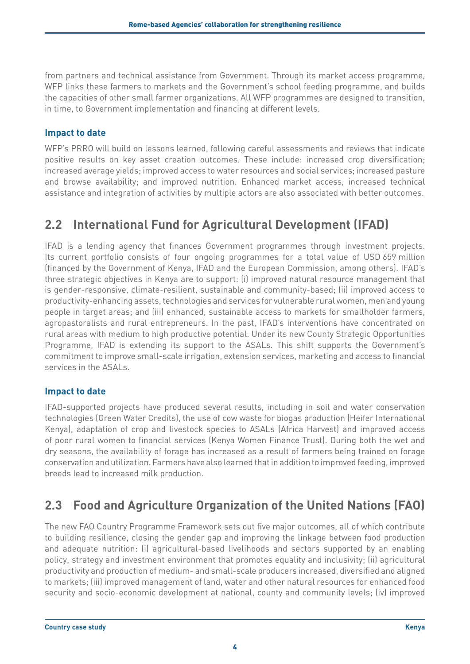<span id="page-7-0"></span>from partners and technical assistance from Government. Through its market access programme, WFP links these farmers to markets and the Government's school feeding programme, and builds the capacities of other small farmer organizations. All WFP programmes are designed to transition, in time, to Government implementation and financing at different levels.

## **Impact to date**

WFP's PRRO will build on lessons learned, following careful assessments and reviews that indicate positive results on key asset creation outcomes. These include: increased crop diversification; increased average yields; improved access to water resources and social services; increased pasture and browse availability; and improved nutrition. Enhanced market access, increased technical assistance and integration of activities by multiple actors are also associated with better outcomes.

## **2.2 International Fund for Agricultural Development (IFAD)**

IFAD is a lending agency that finances Government programmes through investment projects. Its current portfolio consists of four ongoing programmes for a total value of USD 659 million (financed by the Government of Kenya, IFAD and the European Commission, among others). IFAD's three strategic objectives in Kenya are to support: (i) improved natural resource management that is gender-responsive, climate-resilient, sustainable and community-based; (ii) improved access to productivity-enhancing assets, technologies and services for vulnerable rural women, men and young people in target areas; and (iii) enhanced, sustainable access to markets for smallholder farmers, agropastoralists and rural entrepreneurs. In the past, IFAD's interventions have concentrated on rural areas with medium to high productive potential. Under its new County Strategic Opportunities Programme, IFAD is extending its support to the ASALs. This shift supports the Government's commitment to improve small-scale irrigation, extension services, marketing and access to financial services in the ASALs.

### **Impact to date**

IFAD-supported projects have produced several results, including in soil and water conservation technologies (Green Water Credits), the use of cow waste for biogas production (Heifer International Kenya), adaptation of crop and livestock species to ASALs (Africa Harvest) and improved access of poor rural women to financial services (Kenya Women Finance Trust). During both the wet and dry seasons, the availability of forage has increased as a result of farmers being trained on forage conservation and utilization. Farmers have also learned that in addition to improved feeding, improved breeds lead to increased milk production.

## **2.3 Food and Agriculture Organization of the United Nations (FAO)**

The new FAO Country Programme Framework sets out five major outcomes, all of which contribute to building resilience, closing the gender gap and improving the linkage between food production and adequate nutrition: (i) agricultural-based livelihoods and sectors supported by an enabling policy, strategy and investment environment that promotes equality and inclusivity; (ii) agricultural productivity and production of medium- and small-scale producers increased, diversified and aligned to markets; (iii) improved management of land, water and other natural resources for enhanced food security and socio-economic development at national, county and community levels; (iv) improved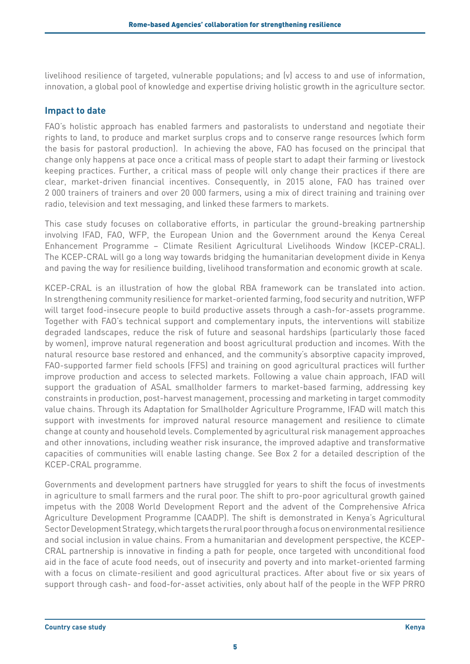livelihood resilience of targeted, vulnerable populations; and (v) access to and use of information, innovation, a global pool of knowledge and expertise driving holistic growth in the agriculture sector.

### **Impact to date**

FAO's holistic approach has enabled farmers and pastoralists to understand and negotiate their rights to land, to produce and market surplus crops and to conserve range resources (which form the basis for pastoral production). In achieving the above, FAO has focused on the principal that change only happens at pace once a critical mass of people start to adapt their farming or livestock keeping practices. Further, a critical mass of people will only change their practices if there are clear, market-driven financial incentives. Consequently, in 2015 alone, FAO has trained over 2 000 trainers of trainers and over 20 000 farmers, using a mix of direct training and training over radio, television and text messaging, and linked these farmers to markets.

This case study focuses on collaborative efforts, in particular the ground-breaking partnership involving IFAD, FAO, WFP, the European Union and the Government around the Kenya Cereal Enhancement Programme – Climate Resilient Agricultural Livelihoods Window (KCEP-CRAL). The KCEP-CRAL will go a long way towards bridging the humanitarian development divide in Kenya and paving the way for resilience building, livelihood transformation and economic growth at scale.

KCEP-CRAL is an illustration of how the global RBA framework can be translated into action. In strengthening community resilience for market-oriented farming, food security and nutrition, WFP will target food-insecure people to build productive assets through a cash-for-assets programme. Together with FAO's technical support and complementary inputs, the interventions will stabilize degraded landscapes, reduce the risk of future and seasonal hardships (particularly those faced by women), improve natural regeneration and boost agricultural production and incomes. With the natural resource base restored and enhanced, and the community's absorptive capacity improved, FAO-supported farmer field schools (FFS) and training on good agricultural practices will further improve production and access to selected markets. Following a value chain approach, IFAD will support the graduation of ASAL smallholder farmers to market-based farming, addressing key constraints in production, post-harvest management, processing and marketing in target commodity value chains. Through its Adaptation for Smallholder Agriculture Programme, IFAD will match this support with investments for improved natural resource management and resilience to climate change at county and household levels. Complemented by agricultural risk management approaches and other innovations, including weather risk insurance, the improved adaptive and transformative capacities of communities will enable lasting change. See Box 2 for a detailed description of the KCEP-CRAL programme.

Governments and development partners have struggled for years to shift the focus of investments in agriculture to small farmers and the rural poor. The shift to pro-poor agricultural growth gained impetus with the 2008 World Development Report and the advent of the Comprehensive Africa Agriculture Development Programme (CAADP). The shift is demonstrated in Kenya's Agricultural Sector Development Strategy, which targets the rural poor through a focus on environmental resilience and social inclusion in value chains. From a humanitarian and development perspective, the KCEP-CRAL partnership is innovative in finding a path for people, once targeted with unconditional food aid in the face of acute food needs, out of insecurity and poverty and into market-oriented farming with a focus on climate-resilient and good agricultural practices. After about five or six years of support through cash- and food-for-asset activities, only about half of the people in the WFP PRRO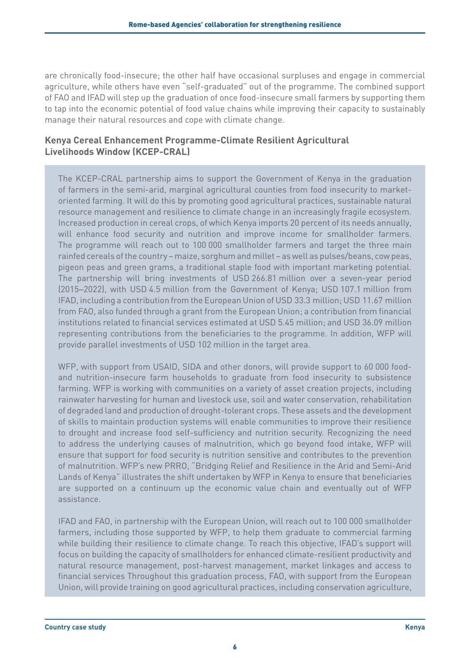are chronically food-insecure; the other half have occasional surpluses and engage in commercial agriculture, while others have even "self-graduated" out of the programme. The combined support of FAO and IFAD will step up the graduation of once food-insecure small farmers by supporting them to tap into the economic potential of food value chains while improving their capacity to sustainably manage their natural resources and cope with climate change.

### **Kenya Cereal Enhancement Programme-Climate Resilient Agricultural Livelihoods Window (KCEP-CRAL)**

The KCEP-CRAL partnership aims to support the Government of Kenya in the graduation of farmers in the semi-arid, marginal agricultural counties from food insecurity to marketoriented farming. It will do this by promoting good agricultural practices, sustainable natural resource management and resilience to climate change in an increasingly fragile ecosystem. Increased production in cereal crops, of which Kenya imports 20 percent of its needs annually, will enhance food security and nutrition and improve income for smallholder farmers. The programme will reach out to 100 000 smallholder farmers and target the three main rainfed cereals of the country – maize, sorghum and millet – as well as pulses/beans, cow peas, pigeon peas and green grams, a traditional staple food with important marketing potential. The partnership will bring investments of USD 266.81 million over a seven-year period (2015–2022), with USD 4.5 million from the Government of Kenya; USD 107.1 million from IFAD, including a contribution from the European Union of USD 33.3 million; USD 11.67 million from FAO, also funded through a grant from the European Union; a contribution from financial institutions related to financial services estimated at USD 5.45 million; and USD 36.09 million representing contributions from the beneficiaries to the programme. In addition, WFP will provide parallel investments of USD 102 million in the target area.

WFP, with support from USAID, SIDA and other donors, will provide support to 60 000 foodand nutrition-insecure farm households to graduate from food insecurity to subsistence farming. WFP is working with communities on a variety of asset creation projects, including rainwater harvesting for human and livestock use, soil and water conservation, rehabilitation of degraded land and production of drought-tolerant crops. These assets and the development of skills to maintain production systems will enable communities to improve their resilience to drought and increase food self-sufficiency and nutrition security. Recognizing the need to address the underlying causes of malnutrition, which go beyond food intake, WFP will ensure that support for food security is nutrition sensitive and contributes to the prevention of malnutrition. WFP's new PRRO, "Bridging Relief and Resilience in the Arid and Semi-Arid Lands of Kenya" illustrates the shift undertaken by WFP in Kenya to ensure that beneficiaries are supported on a continuum up the economic value chain and eventually out of WFP assistance.

IFAD and FAO, in partnership with the European Union, will reach out to 100 000 smallholder farmers, including those supported by WFP, to help them graduate to commercial farming while building their resilience to climate change. To reach this objective, IFAD's support will focus on building the capacity of smallholders for enhanced climate-resilient productivity and natural resource management, post-harvest management, market linkages and access to financial services Throughout this graduation process, FAO, with support from the European Union, will provide training on good agricultural practices, including conservation agriculture,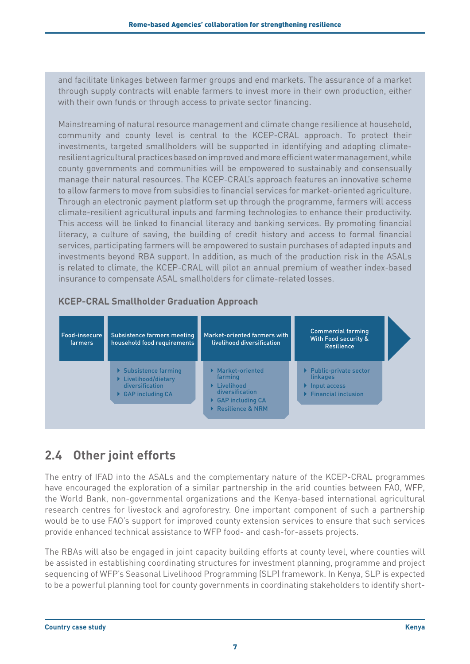<span id="page-10-0"></span>and facilitate linkages between farmer groups and end markets. The assurance of a market through supply contracts will enable farmers to invest more in their own production, either with their own funds or through access to private sector financing.

Mainstreaming of natural resource management and climate change resilience at household, community and county level is central to the KCEP-CRAL approach. To protect their investments, targeted smallholders will be supported in identifying and adopting climateresilient agricultural practices based on improved and more efficient water management, while county governments and communities will be empowered to sustainably and consensually manage their natural resources. The KCEP-CRAL's approach features an innovative scheme to allow farmers to move from subsidies to financial services for market-oriented agriculture. Through an electronic payment platform set up through the programme, farmers will access climate-resilient agricultural inputs and farming technologies to enhance their productivity. This access will be linked to financial literacy and banking services. By promoting financial literacy, a culture of saving, the building of credit history and access to formal financial services, participating farmers will be empowered to sustain purchases of adapted inputs and investments beyond RBA support. In addition, as much of the production risk in the ASALs is related to climate, the KCEP-CRAL will pilot an annual premium of weather index-based insurance to compensate ASAL smallholders for climate-related losses.

## **KCEP-CRAL Smallholder Graduation Approach**



## **2.4 Other joint efforts**

The entry of IFAD into the ASALs and the complementary nature of the KCEP-CRAL programmes have encouraged the exploration of a similar partnership in the arid counties between FAO, WFP, the World Bank, non-governmental organizations and the Kenya-based international agricultural research centres for livestock and agroforestry. One important component of such a partnership would be to use FAO's support for improved county extension services to ensure that such services provide enhanced technical assistance to WFP food- and cash-for-assets projects.

The RBAs will also be engaged in joint capacity building efforts at county level, where counties will be assisted in establishing coordinating structures for investment planning, programme and project sequencing of WFP's Seasonal Livelihood Programming (SLP) framework. In Kenya, SLP is expected to be a powerful planning tool for county governments in coordinating stakeholders to identify short-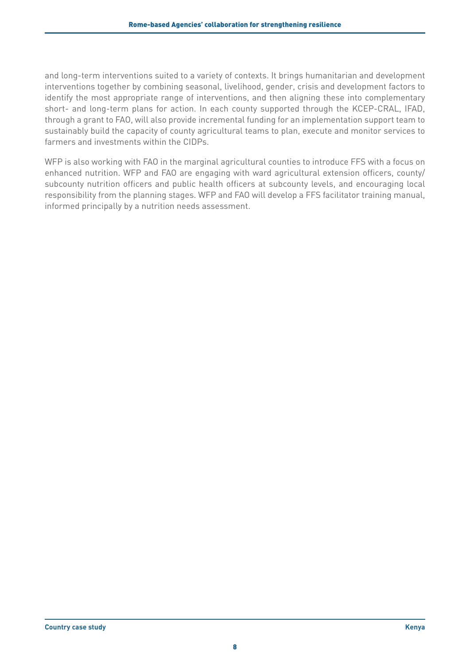and long-term interventions suited to a variety of contexts. It brings humanitarian and development interventions together by combining seasonal, livelihood, gender, crisis and development factors to identify the most appropriate range of interventions, and then aligning these into complementary short- and long-term plans for action. In each county supported through the KCEP-CRAL, IFAD, through a grant to FAO, will also provide incremental funding for an implementation support team to sustainably build the capacity of county agricultural teams to plan, execute and monitor services to farmers and investments within the CIDPs.

WFP is also working with FAO in the marginal agricultural counties to introduce FFS with a focus on enhanced nutrition. WFP and FAO are engaging with ward agricultural extension officers, county/ subcounty nutrition officers and public health officers at subcounty levels, and encouraging local responsibility from the planning stages. WFP and FAO will develop a FFS facilitator training manual, informed principally by a nutrition needs assessment.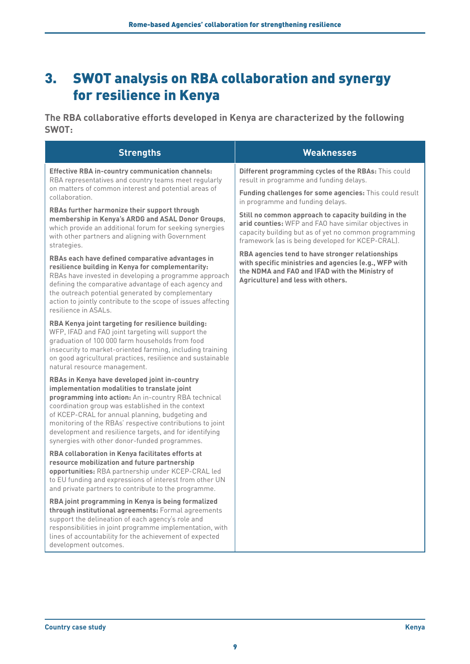# <span id="page-12-0"></span>3. SWOT analysis on RBA collaboration and synergy for resilience in Kenya

**The RBA collaborative efforts developed in Kenya are characterized by the following SWOT:**

| <b>Strengths</b>                                                                                                                                                                                                                                                                                                                                                                                                                       | <b>Weaknesses</b>                                                                                                                                                                                                          |
|----------------------------------------------------------------------------------------------------------------------------------------------------------------------------------------------------------------------------------------------------------------------------------------------------------------------------------------------------------------------------------------------------------------------------------------|----------------------------------------------------------------------------------------------------------------------------------------------------------------------------------------------------------------------------|
| <b>Effective RBA in-country communication channels:</b><br>RBA representatives and country teams meet regularly<br>on matters of common interest and potential areas of<br>collaboration.                                                                                                                                                                                                                                              | Different programming cycles of the RBAs: This could<br>result in programme and funding delays.                                                                                                                            |
|                                                                                                                                                                                                                                                                                                                                                                                                                                        | Funding challenges for some agencies: This could result<br>in programme and funding delays.                                                                                                                                |
| RBAs further harmonize their support through<br>membership in Kenya's ARDG and ASAL Donor Groups,<br>which provide an additional forum for seeking synergies<br>with other partners and aligning with Government<br>strategies.                                                                                                                                                                                                        | Still no common approach to capacity building in the<br>arid counties: WFP and FAO have similar objectives in<br>capacity building but as of yet no common programming<br>framework (as is being developed for KCEP-CRAL). |
| RBAs each have defined comparative advantages in<br>resilience building in Kenya for complementarity:<br>RBAs have invested in developing a programme approach<br>defining the comparative advantage of each agency and<br>the outreach potential generated by complementary<br>action to jointly contribute to the scope of issues affecting<br>resilience in ASALs.                                                                  | RBA agencies tend to have stronger relationships<br>with specific ministries and agencies (e.g., WFP with<br>the NDMA and FAO and IFAD with the Ministry of<br>Agriculture) and less with others.                          |
| RBA Kenya joint targeting for resilience building:<br>WFP, IFAD and FAO joint targeting will support the<br>graduation of 100 000 farm households from food<br>insecurity to market-oriented farming, including training<br>on good agricultural practices, resilience and sustainable<br>natural resource management.                                                                                                                 |                                                                                                                                                                                                                            |
| RBAs in Kenya have developed joint in-country<br>implementation modalities to translate joint<br>programming into action: An in-country RBA technical<br>coordination group was established in the context<br>of KCEP-CRAL for annual planning, budgeting and<br>monitoring of the RBAs' respective contributions to joint<br>development and resilience targets, and for identifying<br>synergies with other donor-funded programmes. |                                                                                                                                                                                                                            |
| RBA collaboration in Kenya facilitates efforts at<br>resource mobilization and future partnership<br>opportunities: RBA partnership under KCEP-CRAL led<br>to EU funding and expressions of interest from other UN<br>and private partners to contribute to the programme.                                                                                                                                                             |                                                                                                                                                                                                                            |
| RBA joint programming in Kenya is being formalized<br>through institutional agreements: Formal agreements<br>support the delineation of each agency's role and<br>responsibilities in joint programme implementation, with<br>lines of accountability for the achievement of expected<br>development outcomes.                                                                                                                         |                                                                                                                                                                                                                            |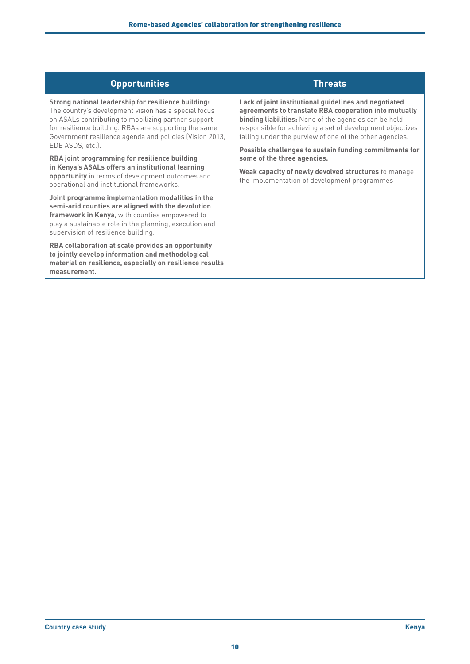| <b>Opportunities</b>                                                                                                                                                                                                                                                                                                                                                                                                                                                                                                     | <b>Threats</b>                                                                                                                                                                                                                                                                                                                                                   |
|--------------------------------------------------------------------------------------------------------------------------------------------------------------------------------------------------------------------------------------------------------------------------------------------------------------------------------------------------------------------------------------------------------------------------------------------------------------------------------------------------------------------------|------------------------------------------------------------------------------------------------------------------------------------------------------------------------------------------------------------------------------------------------------------------------------------------------------------------------------------------------------------------|
| Strong national leadership for resilience building:<br>The country's development vision has a special focus<br>on ASALs contributing to mobilizing partner support<br>for resilience building. RBAs are supporting the same<br>Government resilience agenda and policies (Vision 2013,<br>EDE ASDS, etc.).<br><b>RBA</b> joint programming for resilience building<br>in Kenya's ASALs offers an institutional learning<br>opportunity in terms of development outcomes and<br>operational and institutional frameworks. | Lack of joint institutional guidelines and negotiated<br>agreements to translate RBA cooperation into mutually<br><b>binding liabilities:</b> None of the agencies can be held<br>responsible for achieving a set of development objectives<br>falling under the purview of one of the other agencies.<br>Possible challenges to sustain funding commitments for |
|                                                                                                                                                                                                                                                                                                                                                                                                                                                                                                                          | some of the three agencies.                                                                                                                                                                                                                                                                                                                                      |
|                                                                                                                                                                                                                                                                                                                                                                                                                                                                                                                          | Weak capacity of newly devolved structures to manage<br>the implementation of development programmes                                                                                                                                                                                                                                                             |
| Joint programme implementation modalities in the<br>semi-arid counties are aligned with the devolution<br>framework in Kenya, with counties empowered to<br>play a sustainable role in the planning, execution and<br>supervision of resilience building.                                                                                                                                                                                                                                                                |                                                                                                                                                                                                                                                                                                                                                                  |
| RBA collaboration at scale provides an opportunity<br>to jointly develop information and methodological<br>material on resilience, especially on resilience results<br>measurement.                                                                                                                                                                                                                                                                                                                                      |                                                                                                                                                                                                                                                                                                                                                                  |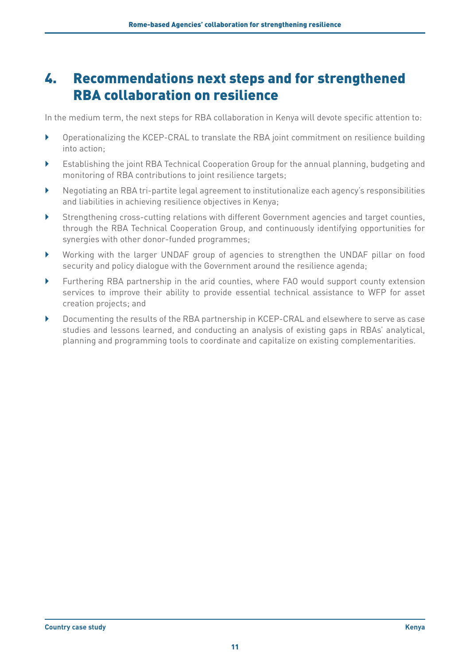# <span id="page-14-0"></span>4. Recommendations next steps and for strengthened RBA collaboration on resilience

In the medium term, the next steps for RBA collaboration in Kenya will devote specific attention to:

- } Operationalizing the KCEP-CRAL to translate the RBA joint commitment on resilience building into action;
- } Establishing the joint RBA Technical Cooperation Group for the annual planning, budgeting and monitoring of RBA contributions to joint resilience targets;
- } Negotiating an RBA tri-partite legal agreement to institutionalize each agency's responsibilities and liabilities in achieving resilience objectives in Kenya;
- } Strengthening cross-cutting relations with different Government agencies and target counties, through the RBA Technical Cooperation Group, and continuously identifying opportunities for synergies with other donor-funded programmes;
- } Working with the larger UNDAF group of agencies to strengthen the UNDAF pillar on food security and policy dialogue with the Government around the resilience agenda;
- } Furthering RBA partnership in the arid counties, where FAO would support county extension services to improve their ability to provide essential technical assistance to WFP for asset creation projects; and
- } Documenting the results of the RBA partnership in KCEP-CRAL and elsewhere to serve as case studies and lessons learned, and conducting an analysis of existing gaps in RBAs' analytical, planning and programming tools to coordinate and capitalize on existing complementarities.